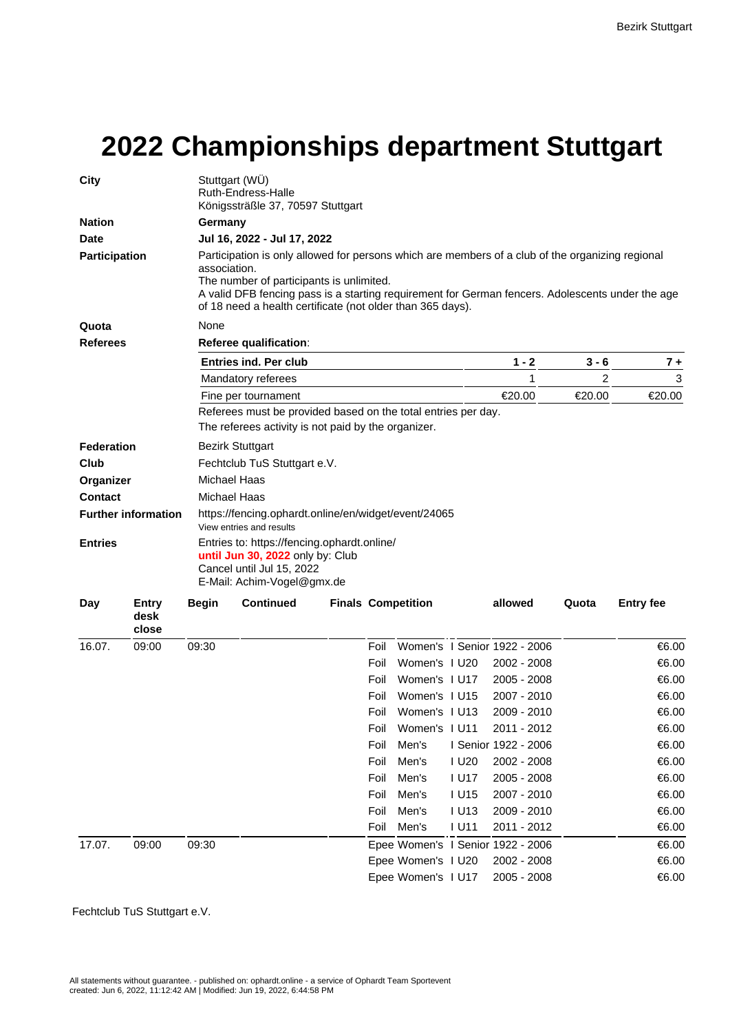## **2022 Championships department Stuttgart**

| <b>City</b>                  |                        |                                                                                                                                                                                                                                                                                                                                                               | Stuttgart (WU)<br>Ruth-Endress-Halle<br>Königssträßle 37, 70597 Stuttgart                                                                  |  |      |                           |             |                                   |         |                  |  |  |  |       |
|------------------------------|------------------------|---------------------------------------------------------------------------------------------------------------------------------------------------------------------------------------------------------------------------------------------------------------------------------------------------------------------------------------------------------------|--------------------------------------------------------------------------------------------------------------------------------------------|--|------|---------------------------|-------------|-----------------------------------|---------|------------------|--|--|--|-------|
| <b>Nation</b>                |                        | Germany                                                                                                                                                                                                                                                                                                                                                       |                                                                                                                                            |  |      |                           |             |                                   |         |                  |  |  |  |       |
| <b>Date</b><br>Participation |                        | Jul 16, 2022 - Jul 17, 2022<br>Participation is only allowed for persons which are members of a club of the organizing regional<br>association.<br>The number of participants is unlimited.<br>A valid DFB fencing pass is a starting requirement for German fencers. Adolescents under the age<br>of 18 need a health certificate (not older than 365 days). |                                                                                                                                            |  |      |                           |             |                                   |         |                  |  |  |  |       |
|                              |                        |                                                                                                                                                                                                                                                                                                                                                               |                                                                                                                                            |  |      |                           |             |                                   |         |                  |  |  |  | Quota |
| <b>Referees</b>              |                        | Referee qualification:                                                                                                                                                                                                                                                                                                                                        |                                                                                                                                            |  |      |                           |             |                                   |         |                  |  |  |  |       |
|                              |                        | <b>Entries ind. Per club</b>                                                                                                                                                                                                                                                                                                                                  |                                                                                                                                            |  |      |                           |             | $1 - 2$                           | $3 - 6$ | $7+$             |  |  |  |       |
|                              |                        | Mandatory referees                                                                                                                                                                                                                                                                                                                                            |                                                                                                                                            |  |      |                           |             | 1                                 | 2       | 3                |  |  |  |       |
|                              |                        | Fine per tournament                                                                                                                                                                                                                                                                                                                                           |                                                                                                                                            |  |      |                           |             | €20.00                            | €20.00  | €20.00           |  |  |  |       |
|                              |                        | Referees must be provided based on the total entries per day.<br>The referees activity is not paid by the organizer.                                                                                                                                                                                                                                          |                                                                                                                                            |  |      |                           |             |                                   |         |                  |  |  |  |       |
| <b>Federation</b>            |                        |                                                                                                                                                                                                                                                                                                                                                               | <b>Bezirk Stuttgart</b>                                                                                                                    |  |      |                           |             |                                   |         |                  |  |  |  |       |
| Club                         |                        |                                                                                                                                                                                                                                                                                                                                                               | Fechtclub TuS Stuttgart e.V.                                                                                                               |  |      |                           |             |                                   |         |                  |  |  |  |       |
| Organizer                    |                        | <b>Michael Haas</b>                                                                                                                                                                                                                                                                                                                                           |                                                                                                                                            |  |      |                           |             |                                   |         |                  |  |  |  |       |
| <b>Contact</b>               |                        | Michael Haas                                                                                                                                                                                                                                                                                                                                                  |                                                                                                                                            |  |      |                           |             |                                   |         |                  |  |  |  |       |
| <b>Further information</b>   |                        | https://fencing.ophardt.online/en/widget/event/24065<br>View entries and results                                                                                                                                                                                                                                                                              |                                                                                                                                            |  |      |                           |             |                                   |         |                  |  |  |  |       |
| <b>Entries</b>               |                        |                                                                                                                                                                                                                                                                                                                                                               | Entries to: https://fencing.ophardt.online/<br>until Jun 30, 2022 only by: Club<br>Cancel until Jul 15, 2022<br>E-Mail: Achim-Vogel@gmx.de |  |      |                           |             |                                   |         |                  |  |  |  |       |
| Day                          | Entry<br>desk<br>close | <b>Begin</b>                                                                                                                                                                                                                                                                                                                                                  | <b>Continued</b>                                                                                                                           |  |      | <b>Finals Competition</b> |             | allowed                           | Quota   | <b>Entry fee</b> |  |  |  |       |
| 16.07.                       | 09:00                  | 09:30                                                                                                                                                                                                                                                                                                                                                         |                                                                                                                                            |  | Foil |                           |             | Women's I Senior 1922 - 2006      |         | €6.00            |  |  |  |       |
|                              |                        |                                                                                                                                                                                                                                                                                                                                                               |                                                                                                                                            |  | Foil | Women's I U20             |             | 2002 - 2008                       |         | €6.00            |  |  |  |       |
|                              |                        |                                                                                                                                                                                                                                                                                                                                                               |                                                                                                                                            |  | Foil | Women's I U17             |             | $2005 - 2008$                     |         | €6.00            |  |  |  |       |
|                              |                        |                                                                                                                                                                                                                                                                                                                                                               |                                                                                                                                            |  | Foil | Women's I U15             |             | 2007 - 2010                       |         | €6.00            |  |  |  |       |
|                              |                        |                                                                                                                                                                                                                                                                                                                                                               |                                                                                                                                            |  | Foil | Women's I U13             |             | 2009 - 2010                       |         | €6.00            |  |  |  |       |
|                              |                        |                                                                                                                                                                                                                                                                                                                                                               |                                                                                                                                            |  | Foil | Women's I U11             |             | 2011 - 2012                       |         | €6.00            |  |  |  |       |
|                              |                        |                                                                                                                                                                                                                                                                                                                                                               |                                                                                                                                            |  | Foil | Men's                     |             | I Senior 1922 - 2006              |         | €6.00            |  |  |  |       |
|                              |                        |                                                                                                                                                                                                                                                                                                                                                               |                                                                                                                                            |  | Foil | Men's                     | I U20       | 2002 - 2008                       |         | €6.00            |  |  |  |       |
|                              |                        |                                                                                                                                                                                                                                                                                                                                                               |                                                                                                                                            |  | Foil | Men's                     | <b>IU17</b> | 2005 - 2008                       |         | €6.00            |  |  |  |       |
|                              |                        |                                                                                                                                                                                                                                                                                                                                                               |                                                                                                                                            |  | Foil | Men's                     | <b>IU15</b> | 2007 - 2010                       |         | €6.00            |  |  |  |       |
|                              |                        |                                                                                                                                                                                                                                                                                                                                                               |                                                                                                                                            |  | Foil | Men's                     | <b>IU13</b> | 2009 - 2010                       |         | €6.00            |  |  |  |       |
|                              |                        |                                                                                                                                                                                                                                                                                                                                                               |                                                                                                                                            |  | Foil | Men's                     | <b>IU11</b> | 2011 - 2012                       |         | €6.00            |  |  |  |       |
| 17.07.                       | 09:00                  | 09:30                                                                                                                                                                                                                                                                                                                                                         |                                                                                                                                            |  |      |                           |             | Epee Women's I Senior 1922 - 2006 |         | €6.00            |  |  |  |       |
|                              |                        |                                                                                                                                                                                                                                                                                                                                                               |                                                                                                                                            |  |      | Epee Women's I U20        |             | 2002 - 2008                       |         | €6.00            |  |  |  |       |
|                              |                        |                                                                                                                                                                                                                                                                                                                                                               |                                                                                                                                            |  |      | Epee Women's I U17        |             | 2005 - 2008                       |         | €6.00            |  |  |  |       |

Fechtclub TuS Stuttgart e.V.